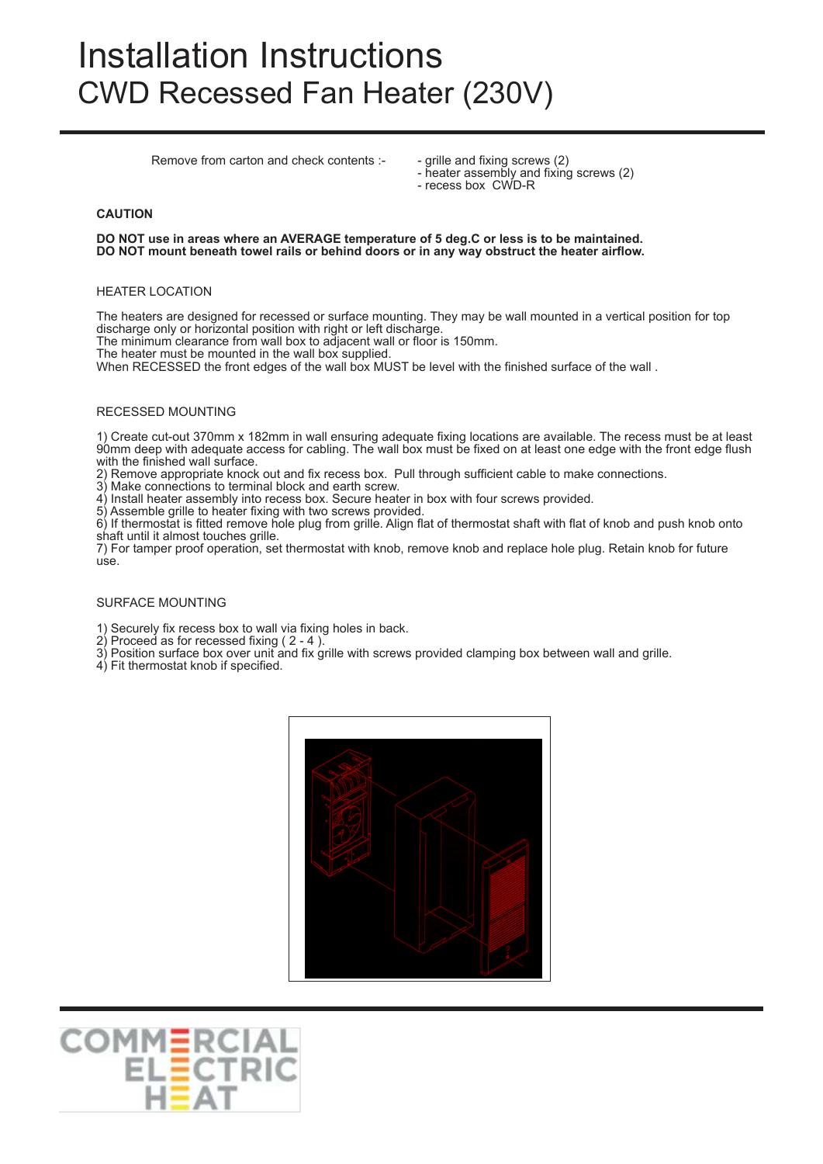# Installation Instructions CWD Recessed Fan Heater (230V)

Remove from carton and check contents :- - grille and fixing screws (2)

- heater assembly and fixing screws (2)
- recess box CWD-R

# **CAUTION**

**DO NOT use in areas where an AVERAGE temperature of 5 deg.C or less is to be maintained. DO NOT mount beneath towel rails or behind doors or in any way obstruct the heater airflow.**

#### HEATER LOCATION

The heaters are designed for recessed or surface mounting. They may be wall mounted in a vertical position for top discharge only or horizontal position with right or left discharge.

The minimum clearance from wall box to adjacent wall or floor is 150mm.

The heater must be mounted in the wall box supplied.

When RECESSED the front edges of the wall box MUST be level with the finished surface of the wall .

# RECESSED MOUNTING

1) Create cut-out 370mm x 182mm in wall ensuring adequate fixing locations are available. The recess must be at least 90mm deep with adequate access for cabling. The wall box must be fixed on at least one edge with the front edge flush with the finished wall surface.

2) Remove appropriate knock out and fix recess box. Pull through sufficient cable to make connections.

Make connections to terminal block and earth screw.

4) Install heater assembly into recess box. Secure heater in box with four screws provided.

5) Assemble grille to heater fixing with two screws provided.

6) If thermostat is fitted remove hole plug from grille. Align flat of thermostat shaft with flat of knob and push knob onto shaft until it almost touches grille.

7) For tamper proof operation, set thermostat with knob, remove knob and replace hole plug. Retain knob for future use.

# SURFACE MOUNTING

1) Securely fix recess box to wall via fixing holes in back.

2) Proceed as for recessed fixing ( 2 - 4 ).

3) Position surface box over unit and fix grille with screws provided clamping box between wall and grille.

4) Fit thermostat knob if specified.